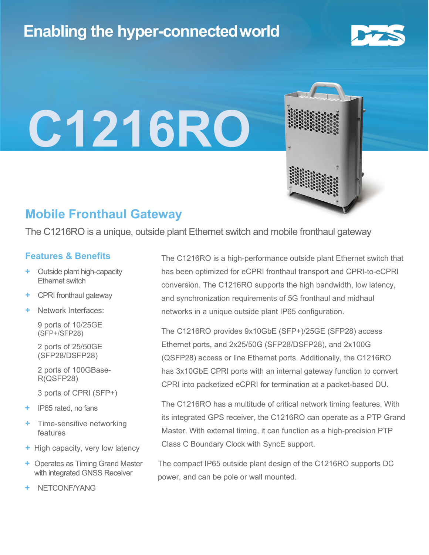# **Enabling the hyper-connectedworld**



# **C1216RO**

### **Mobile Fronthaul Gateway**

The C1216RO is a unique, outside plant Ethernet switch and mobile fronthaul gateway

#### **Features & Benefits**

- **Outside plant high-capacity** Ethernet switch
- **+** CPRI fronthaul gateway
- **+** Network Interfaces:

9 ports of 10/25GE (SFP+/SFP28)

2 ports of 25/50GE (SFP28/DSFP28)

2 ports of 100GBase-R(QSFP28)

3 ports of CPRI (SFP+)

- **+** IP65 rated, no fans
- **+** Time-sensitive networking features
- **+** High capacity, very low latency
- **+** Operates as Timing Grand Master with integrated GNSS Receiver
- **+** NETCONF/YANG

The C1216RO is a high-performance outside plant Ethernet switch that has been optimized for eCPRI fronthaul transport and CPRI-to-eCPRI conversion. The C1216RO supports the high bandwidth, low latency, and synchronization requirements of 5G fronthaul and midhaul networks in a unique outside plant IP65 configuration.

The C1216RO provides 9x10GbE (SFP+)/25GE (SFP28) access Ethernet ports, and 2x25/50G (SFP28/DSFP28), and 2x100G (QSFP28) access or line Ethernet ports. Additionally, the C1216RO has 3x10GbE CPRI ports with an internal gateway function to convert CPRI into packetized eCPRI for termination at a packet-based DU.

The C1216RO has a multitude of critical network timing features. With its integrated GPS receiver, the C1216RO can operate as a PTP Grand Master. With external timing, it can function as a high-precision PTP Class C Boundary Clock with SyncE support.

The compact IP65 outside plant design of the C1216RO supports DC power, and can be pole or wall mounted.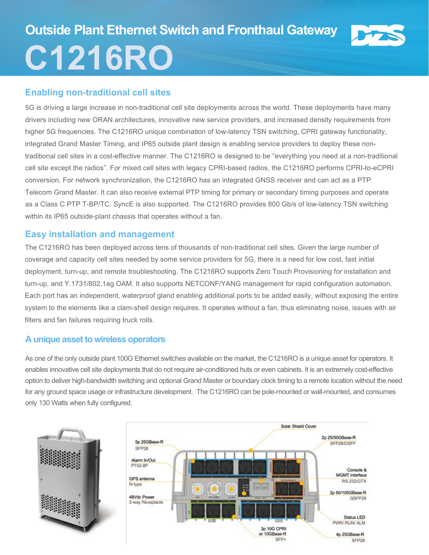# **Outside Plant Ethernet Switch and Fronthaul Gateway C1216RO**

#### **Enabling non-traditional cell sites**

5G is driving a large increase in non-traditional cell site deployments across the world. These deployments have many drivers including new ORAN architectures, innovative new service providers, and increased density requirements from higher 5G frequencies. The C1216RO unique combination of low-latency TSN switching, CPRI gateway functionality, integrated Grand Master Timing, and IP65 outside plant design is enabling service providers to deploy these nontraditional cell sites in a cost-effective manner. The C1216RO is designed to be "everything you need at a non-traditional cell site except the radios". For mixed cell sites with legacy CPRI-based radios, the C1216RO performs CPRI-to-eCPRI conversion. For network synchronization, the C1216RO has an integrated GNSS receiver and can act as a PTP Telecom Grand Master. It can also receive external PTP timing for primary or secondary timing purposes and operate as a Class C PTP T-BP/TC. SyncE is also supported. The C1216RO provides 800 Gb/s of low-latency TSN switching within its IP65 outside-plant chassis that operates without a fan.

#### **Easy installation and management**

The C1216RO has been deployed across tens of thousands of non-traditional cell sites. Given the large number of coverage and capacity cell sites needed by some service providers for 5G, there is a need for low cost, fast initial deployment, turn-up, and remote troubleshooting. The C1216RO supports Zero Touch Provisioning for installation and turn-up, and Y.1731/802.1ag OAM. It also supports NETCONF/YANG management for rapid configuration automation. Each port has an independent, waterproof gland enabling additional ports to be added easily, without exposing the entire system to the elements like a clam-shell design requires. It operates without a fan, thus eliminating noise, issues with air filters and fan failures requiring truck rolls.

#### **A unique asset to wireless operators**

As one of the only outside plant 100G Ethernet switches available on the market, the C1216RO is a unique asset for operators. It enables innovative cell site deployments that do not require air-conditioned huts or even cabinets. It is an extremely cost-effective option to deliver high-bandwidth switching and optional Grand Master or boundary clock timing to a remote location without the need for any ground space usage or infrastructure development. The C1216RO can be pole-mounted or wall-mounted, and consumes only 130 Watts when fully configured.

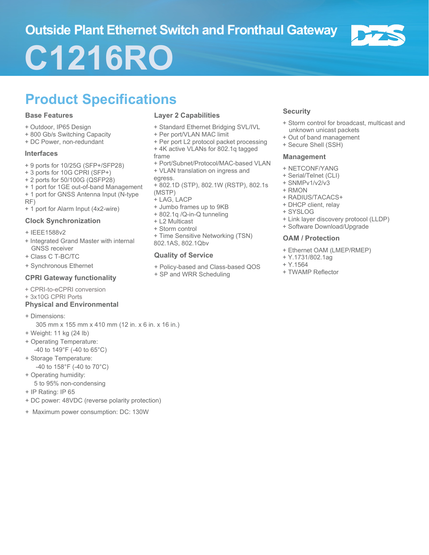## **Outside Plant Ethernet Switch and Fronthaul Gateway**



# **C1216RO**

# **Product Specifications**

#### **Base Features**

- + Outdoor, IP65 Design
- + 800 Gb/s Switching Capacity
- + DC Power, non-redundant

#### **Interfaces**

- + 9 ports for 10/25G (SFP+/SFP28)
- + 3 ports for 10G CPRI (SFP+)
- + 2 ports for 50/100G (QSFP28)
- + 1 port for 1GE out-of-band Management
- + 1 port for GNSS Antenna Input (N-type RF)
- + 1 port for Alarm Input (4x2-wire)

#### **Clock Synchronization**

- + IEEE1588v2
- + Integrated Grand Master with internal GNSS receiver
- + Class C T-BC/TC
- + Synchronous Ethernet

#### **CPRI Gateway functionality**

- + CPRI-to-eCPRI conversion
- + 3x10G CPRI Ports

#### **Physical and Environmental**

- + Dimensions:
	- 305 mm x 155 mm x 410 mm (12 in. x 6 in. x 16 in.)
- + Weight: 11 kg (24 lb)
- + Operating Temperature: -40 to 149°F (-40 to 65°C)
- + Storage Temperature: -40 to 158°F (-40 to 70°C)
- + Operating humidity:
	- 5 to 95% non-condensing
- + IP Rating: IP 65
- + DC power: 48VDC (reverse polarity protection)
- + Maximum power consumption: DC: 130W

#### **Layer 2 Capabilities**

- + Standard Ethernet Bridging SVL/IVL
- + Per port/VLAN MAC limit
- + Per port L2 protocol packet processing + 4K active VLANs for 802.1q tagged frame
- + Port/Subnet/Protocol/MAC-based VLAN
- + VLAN translation on ingress and egress.
- + 802.1D (STP), 802.1W (RSTP), 802.1s (MSTP)
- + LAG, LACP
- + Jumbo frames up to 9KB
- + 802.1q /Q-in-Q tunneling
- + L2 Multicast
- + Storm control
- + Time Sensitive Networking (TSN) 802.1AS, 802.1Qbv

#### **Quality of Service**

- + Policy-based and Class-based QOS
- + SP and WRR Scheduling

#### **Security**

- + Storm control for broadcast, multicast and unknown unicast packets
- + Out of band management
- + Secure Shell (SSH)

#### **Management**

- + NETCONF/YANG
- + Serial/Telnet (CLI)
- + SNMPv1/v2/v3
- + RMON
- + RADIUS/TACACS+
- + DHCP client, relay
- + SYSLOG
- + Link layer discovery protocol (LLDP)
- + Software Download/Upgrade

#### **OAM / Protection**

- + Ethernet OAM (LMEP/RMEP)
- + Y.1731/802.1ag
- + Y.1564
- + TWAMP Reflector